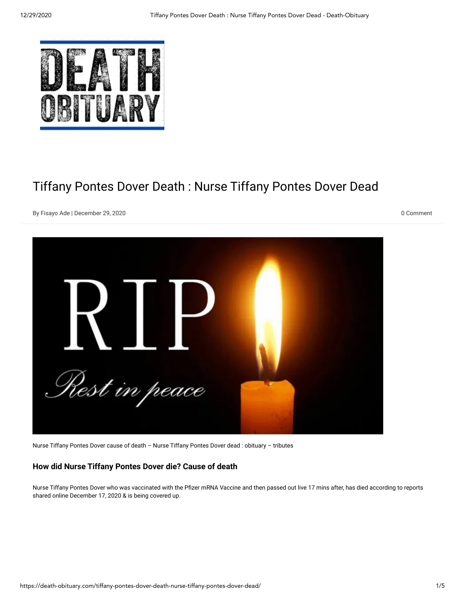

## Tiffany Pontes Dover Death : Nurse Tiffany Pontes Dover Dead

By [Fisayo](https://death-obituary.com/author/sherry-diamond/) Ade | December 29, 2020 0 Comment



Nurse Tiffany Pontes Dover cause of death – Nurse Tiffany Pontes Dover dead : obituary – tributes

## **How did Nurse Tiffany Pontes Dover die? Cause of death**

Nurse Tiffany Pontes Dover who was vaccinated with the Pfizer mRNA Vaccine and then passed out live 17 mins after, has died according to reports shared online December 17, 2020 & is being covered up.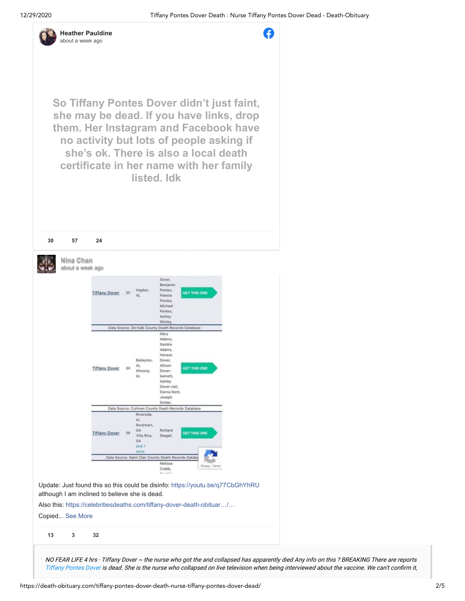

A

**So Tiffany Pontes Dover didn't just faint, she may be dead. If you have links, drop them. Her Instagram and Facebook have no activity but lots of people asking if she's ok. There is also a local death certificate in her name with her family listed. Idk 30 [57](https://www.facebook.com/heather.lagasca/posts/10223156094518301) [24](https://www.facebook.com/sharer/sharer.php?u=https%3A%2F%2Fwww.facebook.com%2Fheather.lagasca%2Fposts%2F10223156094518301&display=popup&ref=plugin&src=post) Nina Chan** [about a week](https://www.facebook.com/nina.chan.568/posts/10222489402255844) [ago](https://www.facebook.com/photo.php?fbid=10222489401335821&set=a.10204377188661824&type=3)Dover. Benjami Pontes, GET THIS ONE **Tiffany Dover** 30  $\Delta$ Felesia Pontes Michael Pontes, Ashley

Shirley, Data Source: De Kalb Cou inty Death Red ords Database Mary Adams, Sandra **Adams** Horace Dover, Baileyto AL Allison **Tiffany Dover** 34 GET THIS ONE Altoona Doverbarnett. Äİ Ashley Dover-nail Donna Kent Joseph Snider, Data So urce: Cullman Co nty Death Re AL Rockmart, GA Richard GET THIS ON **Tiffany Dover** 39 Villa Rica Stegall, GA and 7 Data Source: Saint Clair County Death Records Databa Melissa Crabb,

Update: Just found this so this could be disinfo: [https://youtu.be/q77CbGhYhRU](https://l.facebook.com/l.php?u=https%3A%2F%2Fyoutu.be%2Fq77CbGhYhRU&h=AT1WnDxhVsr0VMuuXN93SzMQg0XuK5IR6VGTtWzrbeLK5uILH5QvOP_T_7btpYXcJgO6_gFuUz7y0K3v5pzZ5Oa_xESGWjydif3YPW6u4Vs9do7eAzGZ8TksNbzVbodpM1JXlcZd) although I am inclined to believe she is dead.

Also this: [https://celebritiesdeaths.com/tiffany-dover-death-obituar…/…](https://celebritiesdeaths.com/tiffany-dover-death-obituary-dead-tiffany-pontes-dover-has-died/?feed_id=14334&_unique_id=5fde8cc501d8d&fbclid=IwAR03sfrnJ_TGRSY2wa-Nw9PNREQVTRPVAHPQDk4dnc0hD7AGXcdCc1pdWuk)

Copied... [See More](https://www.facebook.com/nina.chan.568/posts/10222489402255844)

**13 [3](https://www.facebook.com/nina.chan.568/posts/10222489402255844) [32](https://www.facebook.com/sharer/sharer.php?u=https%3A%2F%2Fwww.facebook.com%2Fnina.chan.568%2Fposts%2F10222489402255844&display=popup&ref=plugin&src=post)**

NO FEAR LIFE 4 hrs · Tiffany Dover <sup>~</sup> the nurse who got the and collapsed has apparently died Any info on this ? BREAKING There are reports [Tiffany](https://death-obituary.com/) Pontes Dover is dead. She is the nurse who collapsed on live television when being interviewed about the vaccine. We can't confirm it,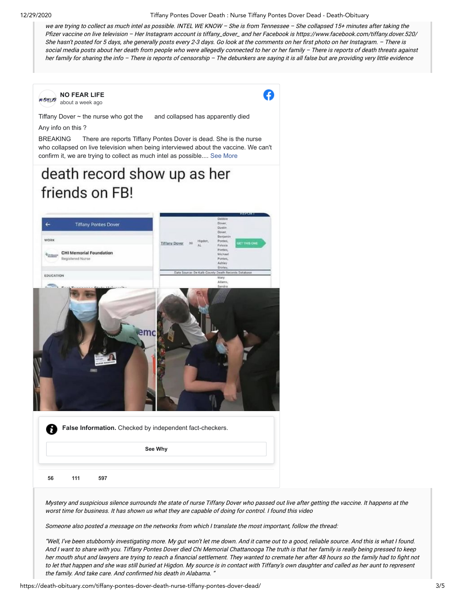12/29/2020 Tiffany Pontes Dover Death : Nurse Tiffany Pontes Dover Dead - Death-Obituary

we are trying to collect as much intel as possible. INTEL WE KNOW – She is from Tennessee – She collapsed 15+ minutes after taking the Pfizer vaccine on live television - Her Instagram account is tiffany\_dover\_ and her Facebook is https://www.facebook.com/tiffany.dover.520/ She hasn't posted for 5 days, she generally posts every 2-3 days. Go look at the comments on her first photo on her Instagram. - There is social media posts about her death from people who were allegedly connected to her or her family - There is reports of death threats against her family for sharing the info – There is reports of censorship – The debunkers are saying it is all false but are providing very little evidence



Mystery and suspicious silence surrounds the state of nurse Tiffany Dover who passed out live after getting the vaccine. It happens at the worst time for business. It has shown us what they are capable of doing for control. I found this video

Someone also posted <sup>a</sup> message on the networks from which I translate the most important, follow the thread:

"Well, I've been stubbornly investigating more. My gut won't let me down. And it came out to <sup>a</sup> good, reliable source. And this is what I found. And I want to share with you. Tiffany Pontes Dover died Chi Memorial Chattanooga The truth is that her family is really being pressed to keep her mouth shut and lawyers are trying to reach a financial settlement. They wanted to cremate her after 48 hours so the family had to fight not to let that happen and she was still buried at Higdon. My source is in contact with Tiffany's own daughter and called as her aunt to represent the family. And take care. And confirmed his death in Alabama. "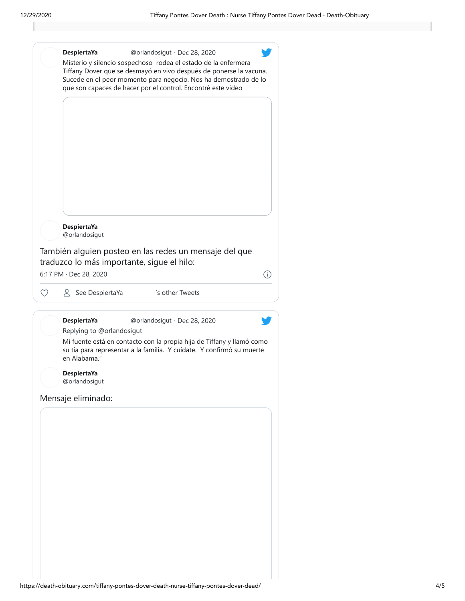| <b>DespiertaYa</b><br>@orlandosigut<br>También alguien posteo en las redes un mensaje del que<br>traduzco lo más importante, sigue el hilo:<br>6:17 PM · Dec 28, 2020<br>△ See DespiertaYa<br>'s other Tweets<br>♡<br><b>DespiertaYa</b><br>@orlandosigut · Dec 28, 2020<br>Replying to @orlandosigut<br>en Alabama."<br><b>DespiertaYa</b><br>@orlandosigut | su tía para representar a la familia. Y cuídate. Y confirmó su muerte | Mi fuente está en contacto con la propia hija de Tiffany y llamó como | Mensaje eliminado: | <b>DespiertaYa</b> | @orlandosigut · Dec 28, 2020<br>Misterio y silencio sospechoso rodea el estado de la enfermera<br>Tiffany Dover que se desmayó en vivo después de ponerse la vacuna.<br>Sucede en el peor momento para negocio. Nos ha demostrado de lo<br>que son capaces de hacer por el control. Encontré este video |   |
|--------------------------------------------------------------------------------------------------------------------------------------------------------------------------------------------------------------------------------------------------------------------------------------------------------------------------------------------------------------|-----------------------------------------------------------------------|-----------------------------------------------------------------------|--------------------|--------------------|---------------------------------------------------------------------------------------------------------------------------------------------------------------------------------------------------------------------------------------------------------------------------------------------------------|---|
|                                                                                                                                                                                                                                                                                                                                                              |                                                                       |                                                                       |                    |                    |                                                                                                                                                                                                                                                                                                         | Ŧ |
|                                                                                                                                                                                                                                                                                                                                                              |                                                                       |                                                                       |                    |                    |                                                                                                                                                                                                                                                                                                         |   |
|                                                                                                                                                                                                                                                                                                                                                              |                                                                       |                                                                       |                    |                    |                                                                                                                                                                                                                                                                                                         |   |
|                                                                                                                                                                                                                                                                                                                                                              |                                                                       |                                                                       |                    |                    |                                                                                                                                                                                                                                                                                                         |   |
|                                                                                                                                                                                                                                                                                                                                                              |                                                                       |                                                                       |                    |                    |                                                                                                                                                                                                                                                                                                         |   |